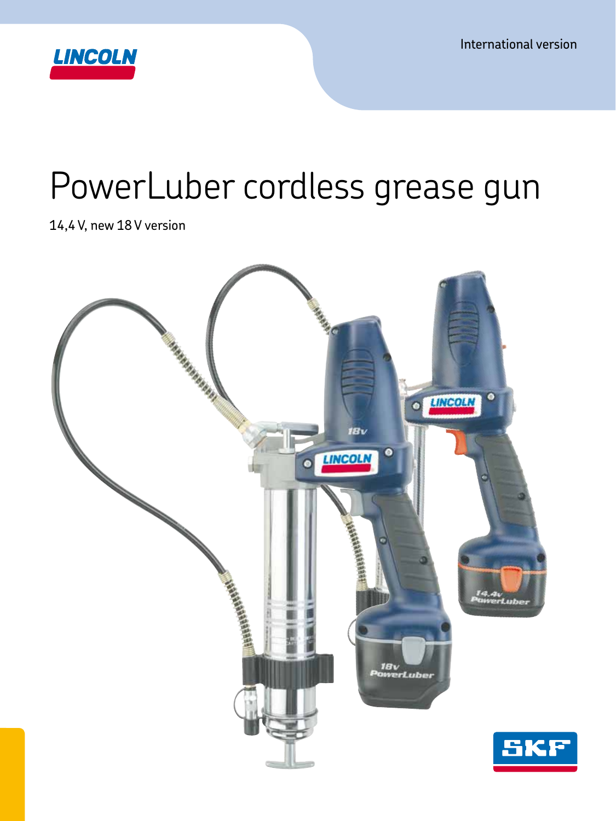International version



# PowerLuber cordless grease gun

14,4 V, new 18 V version

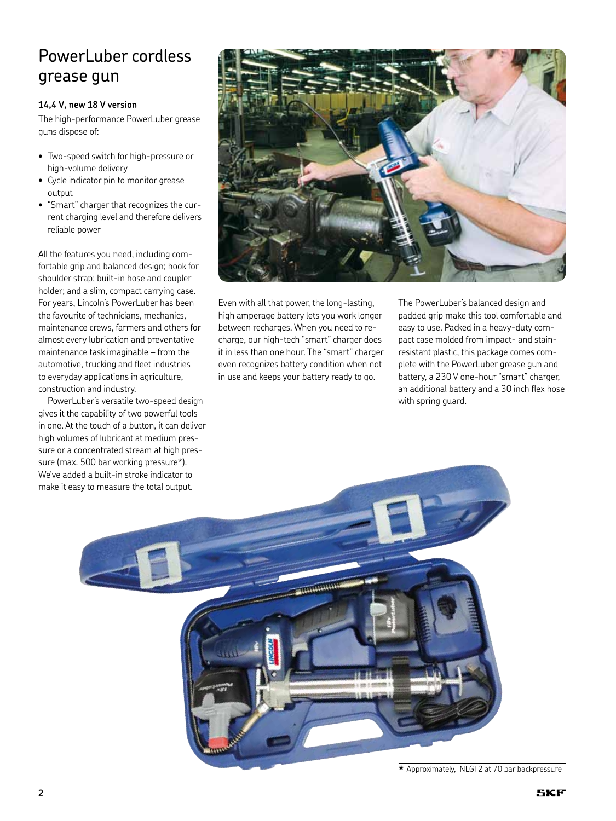## PowerLuber cordless grease gun

### **14,4 V, new 18 V version**

The high-performance PowerLuber grease guns dispose of:

- Two-speed switch for high-pressure or high-volume delivery
- • Cycle indicator pin to monitor grease output
- • "Smart" charger that recognizes the current charging level and therefore delivers reliable power

All the features you need, including comfortable grip and balanced design; hook for shoulder strap; built-in hose and coupler holder; and a slim, compact carrying case. For years, Lincoln's PowerLuber has been the favourite of technicians, mechanics, maintenance crews, farmers and others for almost every lubrication and preventative maintenance task imaginable – from the automotive, trucking and fleet industries to everyday applications in agriculture, construction and industry.

PowerLuber's versatile two-speed design gives it the capability of two powerful tools in one. At the touch of a button, it can deliver high volumes of lubricant at medium pressure or a concentrated stream at high pressure (max. 500 bar working pressure\*). We've added a built-in stroke indicator to make it easy to measure the total output.



Even with all that power, the long-lasting, high amperage battery lets you work longer between recharges. When you need to recharge, our high-tech "smart" charger does it in less than one hour. The "smart" charger even recognizes battery condition when not in use and keeps your battery ready to go.

The PowerLuber's balanced design and padded grip make this tool comfortable and easy to use. Packed in a heavy-duty compact case molded from impact- and stainresistant plastic, this package comes complete with the PowerLuber grease gun and battery, a 230 V one-hour "smart" charger, an additional battery and a 30 inch flex hose with spring guard.



**<sup>\*</sup>** Approximately, NLGI 2 at 70 bar backpressure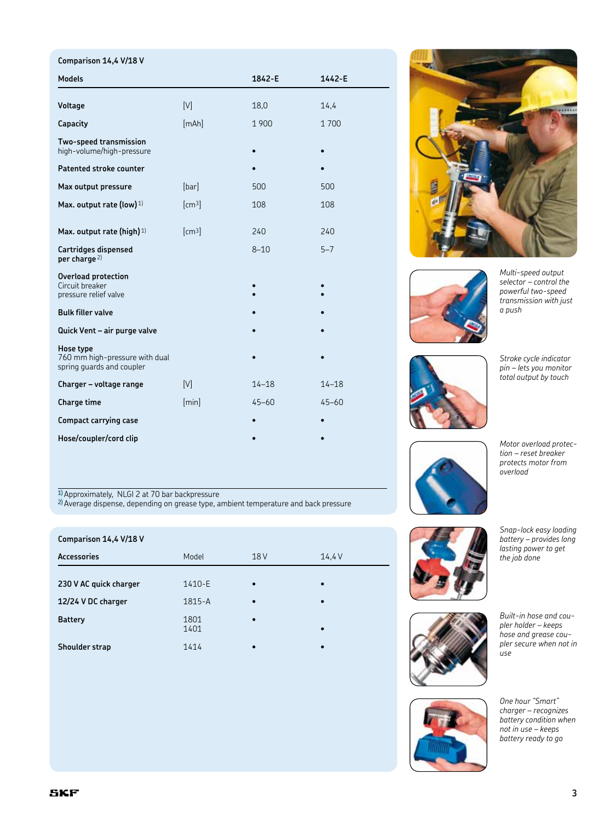| Comparison 14,4 V/18 V                                                   |                    |           |           |
|--------------------------------------------------------------------------|--------------------|-----------|-----------|
| <b>Models</b>                                                            |                    | 1842-E    | 1442-E    |
|                                                                          |                    |           |           |
| Voltage                                                                  | [V]                | 18,0      | 14,4      |
| Capacity                                                                 | [mAh]              | 1 900     | 1700      |
| Two-speed transmission<br>high-volume/high-pressure                      |                    |           |           |
| Patented stroke counter                                                  |                    |           |           |
| Max output pressure                                                      | [bar]              | 500       | 500       |
| Max. output rate (low) $1$ )                                             | [cm <sup>3</sup> ] | 108       | 108       |
| Max. output rate (high) $1$ )                                            | [cm <sup>3</sup> ] | 240       | 240       |
| <b>Cartridges dispensed</b><br>per charge <sup>2)</sup>                  |                    | $8 - 10$  | $5 - 7$   |
| <b>Overload protection</b><br>Circuit breaker<br>pressure relief valve   |                    |           |           |
| <b>Bulk filler valve</b>                                                 |                    |           |           |
| Quick Vent - air purge valve                                             |                    |           |           |
| Hose type<br>760 mm high-pressure with dual<br>spring guards and coupler |                    |           |           |
| Charger - voltage range                                                  | [V]                | $14 - 18$ | $14 - 18$ |
| Charge time                                                              | [min]              | $45 - 60$ | $45 - 60$ |
| <b>Compact carrying case</b>                                             |                    |           |           |
| Hose/coupler/cord clip                                                   |                    |           |           |

<sup>1)</sup> Approximately, NLGI 2 at 70 bar backpressure

2) Average dispense, depending on grease type, ambient temperature and back pressure

| Comparison 14,4 V/18 V |              |                 |           |
|------------------------|--------------|-----------------|-----------|
| <b>Accessories</b>     | Model        | 18 <sub>V</sub> | 14.4 V    |
|                        |              |                 |           |
| 230 V AC quick charger | 1410-E       | $\bullet$       | $\bullet$ |
| 12/24 V DC charger     | 1815-A       | $\bullet$       |           |
| <b>Battery</b>         | 1801<br>1401 | $\bullet$       | $\bullet$ |
| Shoulder strap         | 1414         | $\bullet$       |           |





*Multi-speed output selector – control the powerful two-speed transmission with just a push*



*total output by touch*

*Stroke cycle indicator pin – lets you monitor* 

*Motor overload protection – reset breaker protects motor from overload*



*Snap-lock easy loading battery – provides long lasting power to get the job done*



*Built-in hose and coupler holder – keeps hose and grease coupler secure when not in use*



*One hour "Smart" charger – recognizes battery condition when not in use – keeps battery ready to go*